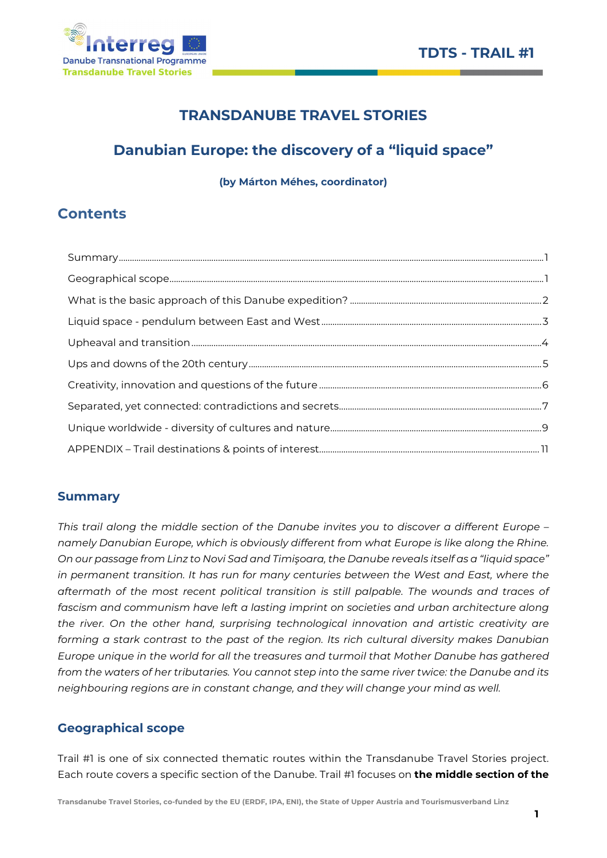

# TRANSDANUBE TRAVEL STORIES

# Danubian Europe: the discovery of a "liquid space"

(by Márton Méhes, coordinator)

# **Contents**

## Summary

This trail along the middle section of the Danube invites you to discover a different Europe – namely Danubian Europe, which is obviously different from what Europe is like along the Rhine. On our passage from Linz to Novi Sad and Timişoara, the Danube reveals itself as a "liquid space" in permanent transition. It has run for many centuries between the West and East, where the aftermath of the most recent political transition is still palpable. The wounds and traces of fascism and communism have left a lasting imprint on societies and urban architecture along the river. On the other hand, surprising technological innovation and artistic creativity are forming a stark contrast to the past of the region. Its rich cultural diversity makes Danubian Europe unique in the world for all the treasures and turmoil that Mother Danube has gathered from the waters of her tributaries. You cannot step into the same river twice: the Danube and its neighbouring regions are in constant change, and they will change your mind as well.

## Geographical scope

Trail #1 is one of six connected thematic routes within the Transdanube Travel Stories project. Each route covers a specific section of the Danube. Trail #1 focuses on the middle section of the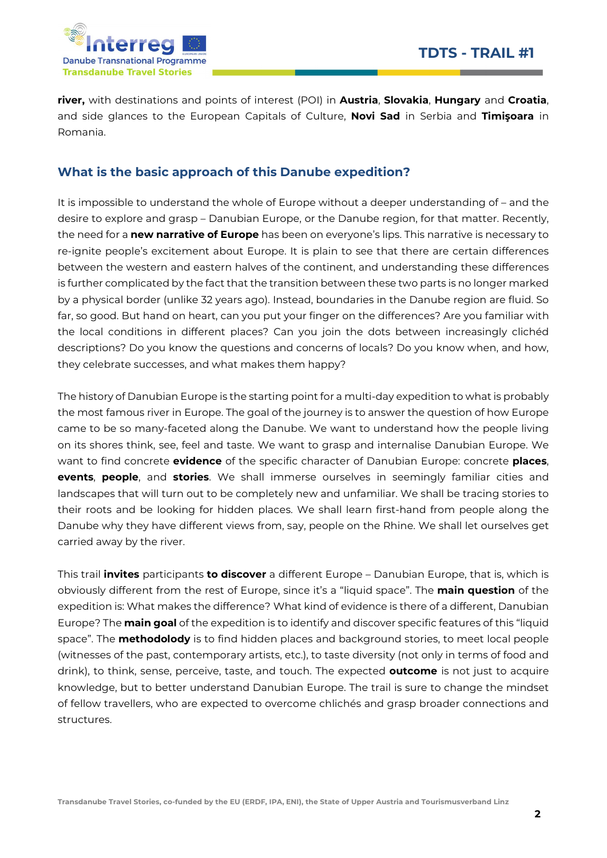

river, with destinations and points of interest (POI) in Austria, Slovakia, Hungary and Croatia, and side glances to the European Capitals of Culture, Novi Sad in Serbia and Timișoara in Romania.

## What is the basic approach of this Danube expedition?

It is impossible to understand the whole of Europe without a deeper understanding of – and the desire to explore and grasp – Danubian Europe, or the Danube region, for that matter. Recently, the need for a new narrative of Europe has been on everyone's lips. This narrative is necessary to re-ignite people's excitement about Europe. It is plain to see that there are certain differences between the western and eastern halves of the continent, and understanding these differences is further complicated by the fact that the transition between these two parts is no longer marked by a physical border (unlike 32 years ago). Instead, boundaries in the Danube region are fluid. So far, so good. But hand on heart, can you put your finger on the differences? Are you familiar with the local conditions in different places? Can you join the dots between increasingly clichéd descriptions? Do you know the questions and concerns of locals? Do you know when, and how, they celebrate successes, and what makes them happy?

The history of Danubian Europe is the starting point for a multi-day expedition to what is probably the most famous river in Europe. The goal of the journey is to answer the question of how Europe came to be so many-faceted along the Danube. We want to understand how the people living on its shores think, see, feel and taste. We want to grasp and internalise Danubian Europe. We want to find concrete evidence of the specific character of Danubian Europe: concrete places, events, people, and stories. We shall immerse ourselves in seemingly familiar cities and landscapes that will turn out to be completely new and unfamiliar. We shall be tracing stories to their roots and be looking for hidden places. We shall learn first-hand from people along the Danube why they have different views from, say, people on the Rhine. We shall let ourselves get carried away by the river.

This trail *invites* participants to discover a different Europe – Danubian Europe, that is, which is obviously different from the rest of Europe, since it's a "liquid space". The main question of the expedition is: What makes the difference? What kind of evidence is there of a different, Danubian Europe? The **main goal** of the expedition is to identify and discover specific features of this "liquid space". The **methodolody** is to find hidden places and background stories, to meet local people (witnesses of the past, contemporary artists, etc.), to taste diversity (not only in terms of food and drink), to think, sense, perceive, taste, and touch. The expected **outcome** is not just to acquire knowledge, but to better understand Danubian Europe. The trail is sure to change the mindset of fellow travellers, who are expected to overcome chlichés and grasp broader connections and structures.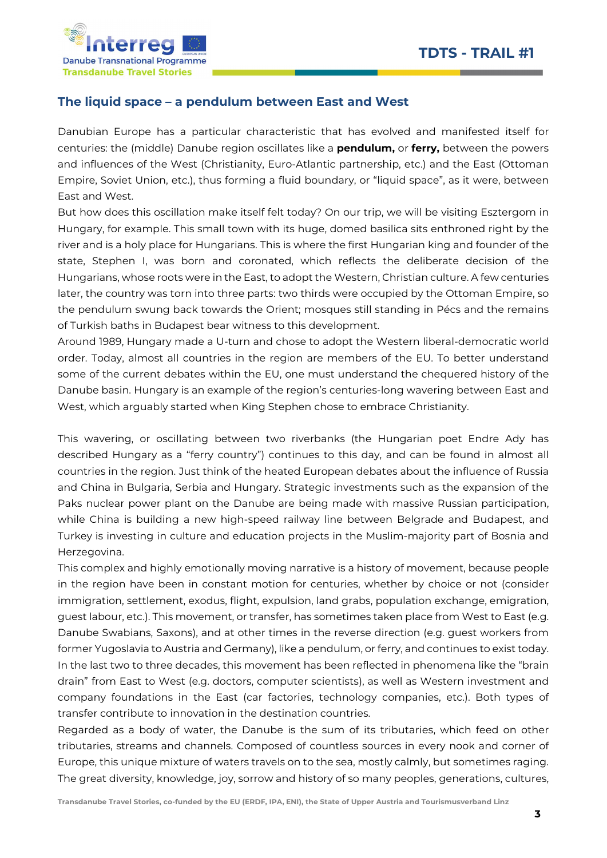

#### The liquid space – a pendulum between East and West

Danubian Europe has a particular characteristic that has evolved and manifested itself for centuries: the (middle) Danube region oscillates like a **pendulum,** or **ferry**, between the powers and influences of the West (Christianity, Euro-Atlantic partnership, etc.) and the East (Ottoman Empire, Soviet Union, etc.), thus forming a fluid boundary, or "liquid space", as it were, between East and West.

But how does this oscillation make itself felt today? On our trip, we will be visiting Esztergom in Hungary, for example. This small town with its huge, domed basilica sits enthroned right by the river and is a holy place for Hungarians. This is where the first Hungarian king and founder of the state, Stephen I, was born and coronated, which reflects the deliberate decision of the Hungarians, whose roots were in the East, to adopt the Western, Christian culture. A few centuries later, the country was torn into three parts: two thirds were occupied by the Ottoman Empire, so the pendulum swung back towards the Orient; mosques still standing in Pécs and the remains of Turkish baths in Budapest bear witness to this development.

Around 1989, Hungary made a U-turn and chose to adopt the Western liberal-democratic world order. Today, almost all countries in the region are members of the EU. To better understand some of the current debates within the EU, one must understand the chequered history of the Danube basin. Hungary is an example of the region's centuries-long wavering between East and West, which arguably started when King Stephen chose to embrace Christianity.

This wavering, or oscillating between two riverbanks (the Hungarian poet Endre Ady has described Hungary as a "ferry country") continues to this day, and can be found in almost all countries in the region. Just think of the heated European debates about the influence of Russia and China in Bulgaria, Serbia and Hungary. Strategic investments such as the expansion of the Paks nuclear power plant on the Danube are being made with massive Russian participation, while China is building a new high-speed railway line between Belgrade and Budapest, and Turkey is investing in culture and education projects in the Muslim-majority part of Bosnia and Herzegovina.

This complex and highly emotionally moving narrative is a history of movement, because people in the region have been in constant motion for centuries, whether by choice or not (consider immigration, settlement, exodus, flight, expulsion, land grabs, population exchange, emigration, guest labour, etc.). This movement, or transfer, has sometimes taken place from West to East (e.g. Danube Swabians, Saxons), and at other times in the reverse direction (e.g. guest workers from former Yugoslavia to Austria and Germany), like a pendulum, or ferry, and continues to exist today. In the last two to three decades, this movement has been reflected in phenomena like the "brain drain" from East to West (e.g. doctors, computer scientists), as well as Western investment and company foundations in the East (car factories, technology companies, etc.). Both types of transfer contribute to innovation in the destination countries.

Regarded as a body of water, the Danube is the sum of its tributaries, which feed on other tributaries, streams and channels. Composed of countless sources in every nook and corner of Europe, this unique mixture of waters travels on to the sea, mostly calmly, but sometimes raging. The great diversity, knowledge, joy, sorrow and history of so many peoples, generations, cultures,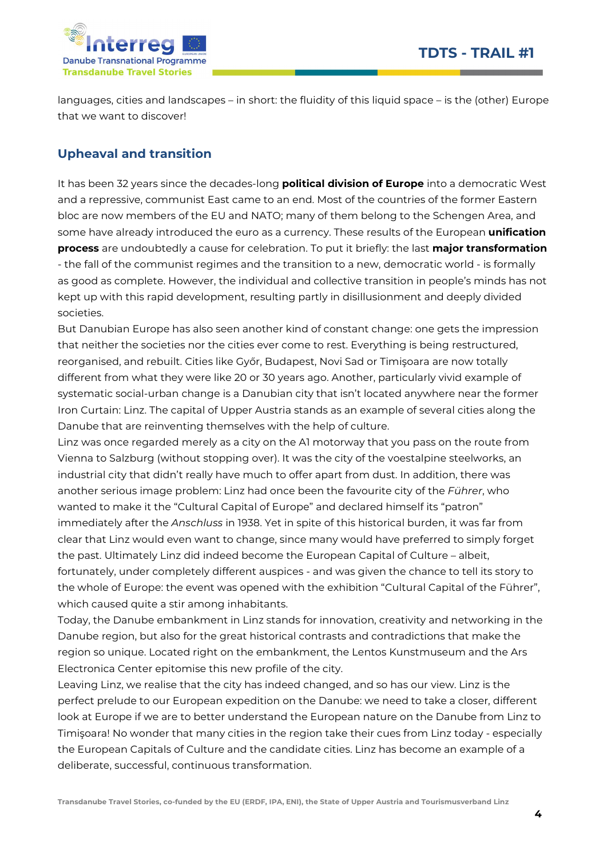

languages, cities and landscapes – in short: the fluidity of this liquid space – is the (other) Europe that we want to discover!

# Upheaval and transition

It has been 32 years since the decades-long **political division of Europe** into a democratic West and a repressive, communist East came to an end. Most of the countries of the former Eastern bloc are now members of the EU and NATO; many of them belong to the Schengen Area, and some have already introduced the euro as a currency. These results of the European unification process are undoubtedly a cause for celebration. To put it briefly: the last major transformation - the fall of the communist regimes and the transition to a new, democratic world - is formally as good as complete. However, the individual and collective transition in people's minds has not kept up with this rapid development, resulting partly in disillusionment and deeply divided societies.

But Danubian Europe has also seen another kind of constant change: one gets the impression that neither the societies nor the cities ever come to rest. Everything is being restructured, reorganised, and rebuilt. Cities like Győr, Budapest, Novi Sad or Timişoara are now totally different from what they were like 20 or 30 years ago. Another, particularly vivid example of systematic social-urban change is a Danubian city that isn't located anywhere near the former Iron Curtain: Linz. The capital of Upper Austria stands as an example of several cities along the Danube that are reinventing themselves with the help of culture.

Linz was once regarded merely as a city on the A1 motorway that you pass on the route from Vienna to Salzburg (without stopping over). It was the city of the voestalpine steelworks, an industrial city that didn't really have much to offer apart from dust. In addition, there was another serious image problem: Linz had once been the favourite city of the Führer, who wanted to make it the "Cultural Capital of Europe" and declared himself its "patron" immediately after the Anschluss in 1938. Yet in spite of this historical burden, it was far from clear that Linz would even want to change, since many would have preferred to simply forget the past. Ultimately Linz did indeed become the European Capital of Culture – albeit, fortunately, under completely different auspices - and was given the chance to tell its story to the whole of Europe: the event was opened with the exhibition "Cultural Capital of the Führer", which caused quite a stir among inhabitants.

Today, the Danube embankment in Linz stands for innovation, creativity and networking in the Danube region, but also for the great historical contrasts and contradictions that make the region so unique. Located right on the embankment, the Lentos Kunstmuseum and the Ars Electronica Center epitomise this new profile of the city.

Leaving Linz, we realise that the city has indeed changed, and so has our view. Linz is the perfect prelude to our European expedition on the Danube: we need to take a closer, different look at Europe if we are to better understand the European nature on the Danube from Linz to Timişoara! No wonder that many cities in the region take their cues from Linz today - especially the European Capitals of Culture and the candidate cities. Linz has become an example of a deliberate, successful, continuous transformation.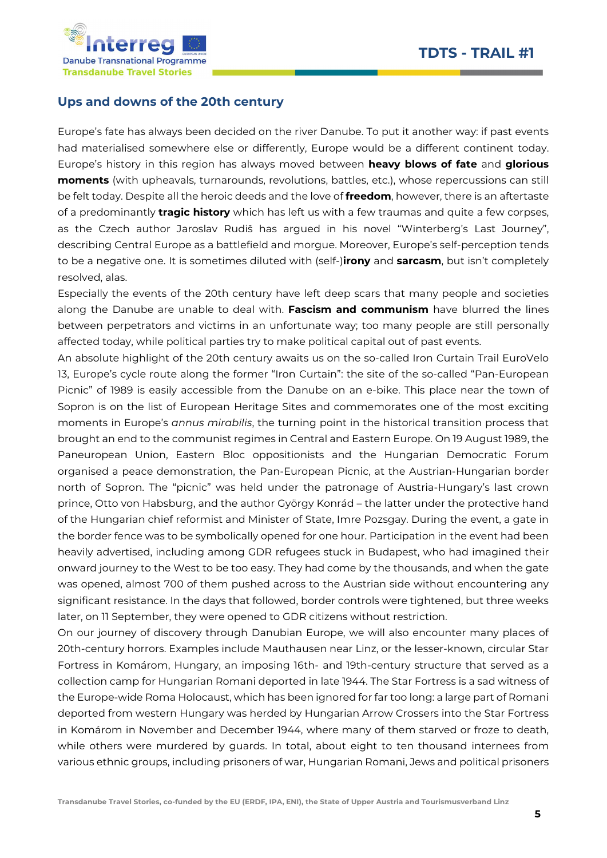



#### Ups and downs of the 20th century

Europe's fate has always been decided on the river Danube. To put it another way: if past events had materialised somewhere else or differently, Europe would be a different continent today. Europe's history in this region has always moved between heavy blows of fate and glorious moments (with upheavals, turnarounds, revolutions, battles, etc.), whose repercussions can still be felt today. Despite all the heroic deeds and the love of freedom, however, there is an aftertaste of a predominantly **tragic history** which has left us with a few traumas and quite a few corpses, as the Czech author Jaroslav Rudiš has argued in his novel "Winterberg's Last Journey", describing Central Europe as a battlefield and morgue. Moreover, Europe's self-perception tends to be a negative one. It is sometimes diluted with (self-)irony and sarcasm, but isn't completely resolved, alas.

Especially the events of the 20th century have left deep scars that many people and societies along the Danube are unable to deal with. Fascism and communism have blurred the lines between perpetrators and victims in an unfortunate way; too many people are still personally affected today, while political parties try to make political capital out of past events.

An absolute highlight of the 20th century awaits us on the so-called Iron Curtain Trail EuroVelo 13, Europe's cycle route along the former "Iron Curtain": the site of the so-called "Pan-European Picnic" of 1989 is easily accessible from the Danube on an e-bike. This place near the town of Sopron is on the list of European Heritage Sites and commemorates one of the most exciting moments in Europe's annus mirabilis, the turning point in the historical transition process that brought an end to the communist regimes in Central and Eastern Europe. On 19 August 1989, the Paneuropean Union, Eastern Bloc oppositionists and the Hungarian Democratic Forum organised a peace demonstration, the Pan-European Picnic, at the Austrian-Hungarian border north of Sopron. The "picnic" was held under the patronage of Austria-Hungary's last crown prince, Otto von Habsburg, and the author György Konrád – the latter under the protective hand of the Hungarian chief reformist and Minister of State, Imre Pozsgay. During the event, a gate in the border fence was to be symbolically opened for one hour. Participation in the event had been heavily advertised, including among GDR refugees stuck in Budapest, who had imagined their onward journey to the West to be too easy. They had come by the thousands, and when the gate was opened, almost 700 of them pushed across to the Austrian side without encountering any significant resistance. In the days that followed, border controls were tightened, but three weeks later, on 11 September, they were opened to GDR citizens without restriction.

On our journey of discovery through Danubian Europe, we will also encounter many places of 20th-century horrors. Examples include Mauthausen near Linz, or the lesser-known, circular Star Fortress in Komárom, Hungary, an imposing 16th- and 19th-century structure that served as a collection camp for Hungarian Romani deported in late 1944. The Star Fortress is a sad witness of the Europe-wide Roma Holocaust, which has been ignored for far too long: a large part of Romani deported from western Hungary was herded by Hungarian Arrow Crossers into the Star Fortress in Komárom in November and December 1944, where many of them starved or froze to death, while others were murdered by guards. In total, about eight to ten thousand internees from various ethnic groups, including prisoners of war, Hungarian Romani, Jews and political prisoners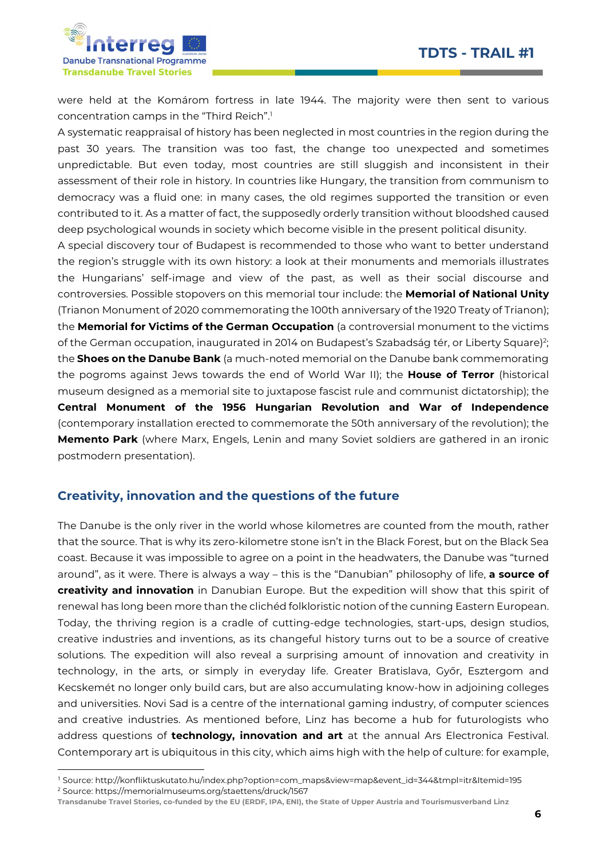

-

were held at the Komárom fortress in late 1944. The majority were then sent to various concentration camps in the "Third Reich".<sup>1</sup>

A systematic reappraisal of history has been neglected in most countries in the region during the past 30 years. The transition was too fast, the change too unexpected and sometimes unpredictable. But even today, most countries are still sluggish and inconsistent in their assessment of their role in history. In countries like Hungary, the transition from communism to democracy was a fluid one: in many cases, the old regimes supported the transition or even contributed to it. As a matter of fact, the supposedly orderly transition without bloodshed caused deep psychological wounds in society which become visible in the present political disunity.

A special discovery tour of Budapest is recommended to those who want to better understand the region's struggle with its own history: a look at their monuments and memorials illustrates the Hungarians' self-image and view of the past, as well as their social discourse and controversies. Possible stopovers on this memorial tour include: the Memorial of National Unity (Trianon Monument of 2020 commemorating the 100th anniversary of the 1920 Treaty of Trianon); the Memorial for Victims of the German Occupation (a controversial monument to the victims of the German occupation, inaugurated in 2014 on Budapest's Szabadság tér, or Liberty Square)<sup>2</sup>; the **Shoes on the Danube Bank** (a much-noted memorial on the Danube bank commemorating the pogroms against Jews towards the end of World War II); the **House of Terror** (historical museum designed as a memorial site to juxtapose fascist rule and communist dictatorship); the Central Monument of the 1956 Hungarian Revolution and War of Independence (contemporary installation erected to commemorate the 50th anniversary of the revolution); the **Memento Park** (where Marx, Engels, Lenin and many Soviet soldiers are gathered in an ironic postmodern presentation).

#### Creativity, innovation and the questions of the future

The Danube is the only river in the world whose kilometres are counted from the mouth, rather that the source. That is why its zero-kilometre stone isn't in the Black Forest, but on the Black Sea coast. Because it was impossible to agree on a point in the headwaters, the Danube was "turned around", as it were. There is always a way – this is the "Danubian" philosophy of life, a source of creativity and innovation in Danubian Europe. But the expedition will show that this spirit of renewal has long been more than the clichéd folkloristic notion of the cunning Eastern European. Today, the thriving region is a cradle of cutting-edge technologies, start-ups, design studios, creative industries and inventions, as its changeful history turns out to be a source of creative solutions. The expedition will also reveal a surprising amount of innovation and creativity in technology, in the arts, or simply in everyday life. Greater Bratislava, Győr, Esztergom and Kecskemét no longer only build cars, but are also accumulating know-how in adjoining colleges and universities. Novi Sad is a centre of the international gaming industry, of computer sciences and creative industries. As mentioned before, Linz has become a hub for futurologists who address questions of technology, innovation and art at the annual Ars Electronica Festival. Contemporary art is ubiquitous in this city, which aims high with the help of culture: for example,

<sup>1</sup> Source: http://konfliktuskutato.hu/index.php?option=com\_maps&view=map&event\_id=344&tmpl=itr&Itemid=195 <sup>2</sup> Source: https://memorialmuseums.org/staettens/druck/1567

Transdanube Travel Stories, co-funded by the EU (ERDF, IPA, ENI), the State of Upper Austria and Tourismusverband Linz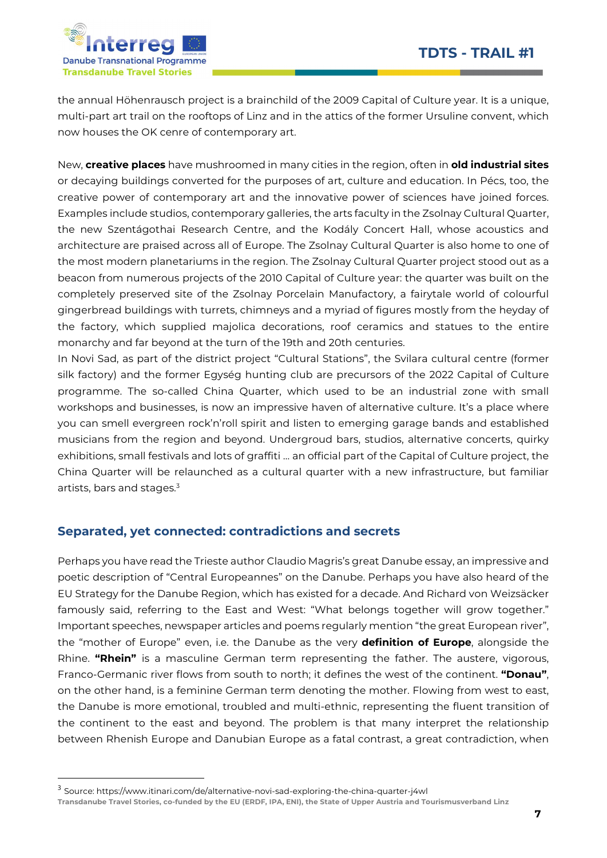

the annual Höhenrausch project is a brainchild of the 2009 Capital of Culture year. It is a unique, multi-part art trail on the rooftops of Linz and in the attics of the former Ursuline convent, which now houses the OK cenre of contemporary art.

New, creative places have mushroomed in many cities in the region, often in old industrial sites or decaying buildings converted for the purposes of art, culture and education. In Pécs, too, the creative power of contemporary art and the innovative power of sciences have joined forces. Examples include studios, contemporary galleries, the arts faculty in the Zsolnay Cultural Quarter, the new Szentágothai Research Centre, and the Kodály Concert Hall, whose acoustics and architecture are praised across all of Europe. The Zsolnay Cultural Quarter is also home to one of the most modern planetariums in the region. The Zsolnay Cultural Quarter project stood out as a beacon from numerous projects of the 2010 Capital of Culture year: the quarter was built on the completely preserved site of the Zsolnay Porcelain Manufactory, a fairytale world of colourful gingerbread buildings with turrets, chimneys and a myriad of figures mostly from the heyday of the factory, which supplied majolica decorations, roof ceramics and statues to the entire monarchy and far beyond at the turn of the 19th and 20th centuries.

In Novi Sad, as part of the district project "Cultural Stations", the Svilara cultural centre (former silk factory) and the former Egység hunting club are precursors of the 2022 Capital of Culture programme. The so-called China Quarter, which used to be an industrial zone with small workshops and businesses, is now an impressive haven of alternative culture. It's a place where you can smell evergreen rock'n'roll spirit and listen to emerging garage bands and established musicians from the region and beyond. Undergroud bars, studios, alternative concerts, quirky exhibitions, small festivals and lots of graffiti … an official part of the Capital of Culture project, the China Quarter will be relaunched as a cultural quarter with a new infrastructure, but familiar artists, bars and stages.<sup>3</sup>

## Separated, yet connected: contradictions and secrets

Perhaps you have read the Trieste author Claudio Magris's great Danube essay, an impressive and poetic description of "Central Europeannes" on the Danube. Perhaps you have also heard of the EU Strategy for the Danube Region, which has existed for a decade. And Richard von Weizsäcker famously said, referring to the East and West: "What belongs together will grow together." Important speeches, newspaper articles and poems regularly mention "the great European river", the "mother of Europe" even, i.e. the Danube as the very **definition of Europe**, alongside the Rhine. "Rhein" is a masculine German term representing the father. The austere, vigorous, Franco-Germanic river flows from south to north; it defines the west of the continent. "Donau", on the other hand, is a feminine German term denoting the mother. Flowing from west to east, the Danube is more emotional, troubled and multi-ethnic, representing the fluent transition of the continent to the east and beyond. The problem is that many interpret the relationship between Rhenish Europe and Danubian Europe as a fatal contrast, a great contradiction, when

-

Transdanube Travel Stories, co-funded by the EU (ERDF, IPA, ENI), the State of Upper Austria and Tourismusverband Linz

<sup>3</sup> Source: https://www.itinari.com/de/alternative-novi-sad-exploring-the-china-quarter-j4wl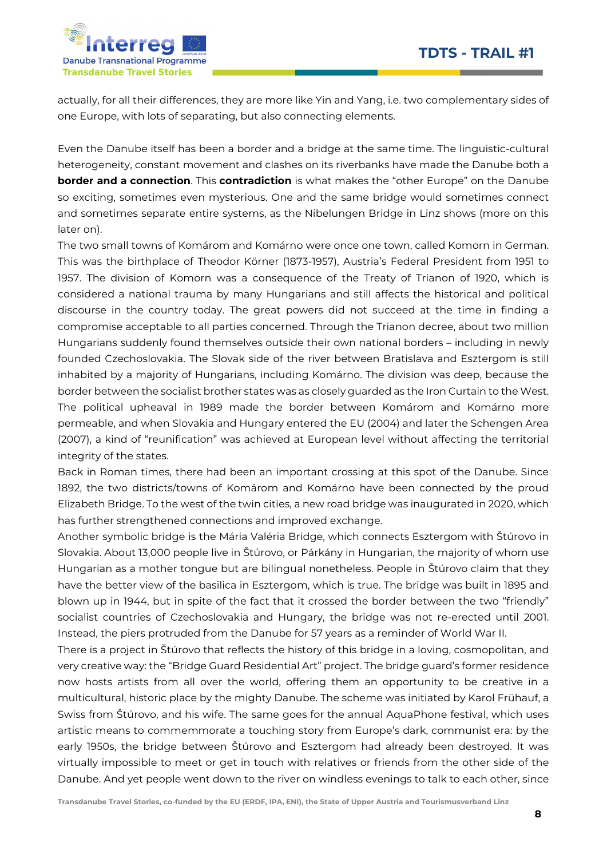

actually, for all their differences, they are more like Yin and Yang, i.e. two complementary sides of one Europe, with lots of separating, but also connecting elements.

Even the Danube itself has been a border and a bridge at the same time. The linguistic-cultural heterogeneity, constant movement and clashes on its riverbanks have made the Danube both a border and a connection. This contradiction is what makes the "other Europe" on the Danube so exciting, sometimes even mysterious. One and the same bridge would sometimes connect and sometimes separate entire systems, as the Nibelungen Bridge in Linz shows (more on this later on).

The two small towns of Komárom and Komárno were once one town, called Komorn in German. This was the birthplace of Theodor Körner (1873-1957), Austria's Federal President from 1951 to 1957. The division of Komorn was a consequence of the Treaty of Trianon of 1920, which is considered a national trauma by many Hungarians and still affects the historical and political discourse in the country today. The great powers did not succeed at the time in finding a compromise acceptable to all parties concerned. Through the Trianon decree, about two million Hungarians suddenly found themselves outside their own national borders – including in newly founded Czechoslovakia. The Slovak side of the river between Bratislava and Esztergom is still inhabited by a majority of Hungarians, including Komárno. The division was deep, because the border between the socialist brother states was as closely guarded as the Iron Curtain to the West. The political upheaval in 1989 made the border between Komárom and Komárno more permeable, and when Slovakia and Hungary entered the EU (2004) and later the Schengen Area (2007), a kind of "reunification" was achieved at European level without affecting the territorial integrity of the states.

Back in Roman times, there had been an important crossing at this spot of the Danube. Since 1892, the two districts/towns of Komárom and Komárno have been connected by the proud Elizabeth Bridge. To the west of the twin cities, a new road bridge was inaugurated in 2020, which has further strengthened connections and improved exchange.

Another symbolic bridge is the Mária Valéria Bridge, which connects Esztergom with Štúrovo in Slovakia. About 13,000 people live in Štúrovo, or Párkány in Hungarian, the majority of whom use Hungarian as a mother tongue but are bilingual nonetheless. People in Štúrovo claim that they have the better view of the basilica in Esztergom, which is true. The bridge was built in 1895 and blown up in 1944, but in spite of the fact that it crossed the border between the two "friendly" socialist countries of Czechoslovakia and Hungary, the bridge was not re-erected until 2001. Instead, the piers protruded from the Danube for 57 years as a reminder of World War II.

There is a project in Štúrovo that reflects the history of this bridge in a loving, cosmopolitan, and very creative way: the "Bridge Guard Residential Art" project. The bridge guard's former residence now hosts artists from all over the world, offering them an opportunity to be creative in a multicultural, historic place by the mighty Danube. The scheme was initiated by Karol Frühauf, a Swiss from Štúrovo, and his wife. The same goes for the annual AquaPhone festival, which uses artistic means to commemmorate a touching story from Europe's dark, communist era: by the early 1950s, the bridge between Štúrovo and Esztergom had already been destroyed. It was virtually impossible to meet or get in touch with relatives or friends from the other side of the Danube. And yet people went down to the river on windless evenings to talk to each other, since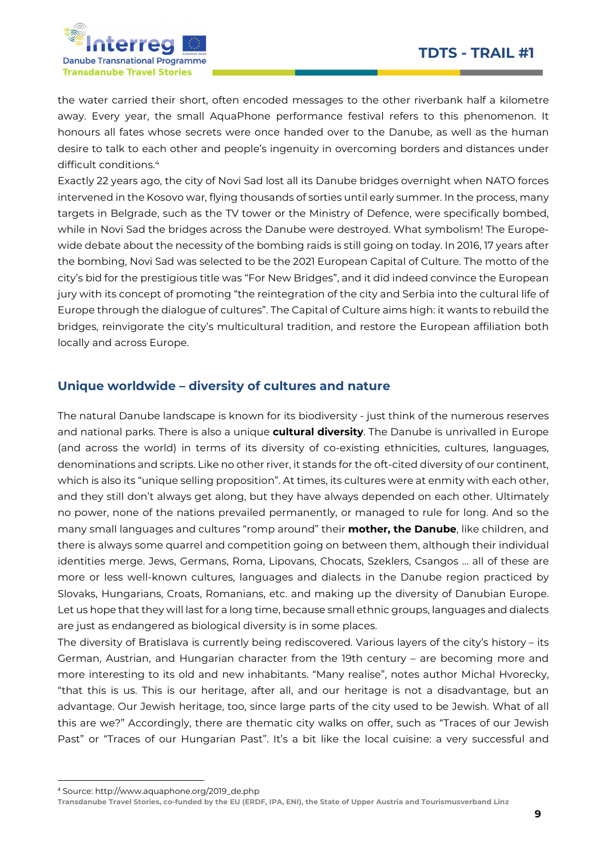

the water carried their short, often encoded messages to the other riverbank half a kilometre away. Every year, the small AquaPhone performance festival refers to this phenomenon. It honours all fates whose secrets were once handed over to the Danube, as well as the human desire to talk to each other and people's ingenuity in overcoming borders and distances under difficult conditions.<sup>4</sup>

Exactly 22 years ago, the city of Novi Sad lost all its Danube bridges overnight when NATO forces intervened in the Kosovo war, flying thousands of sorties until early summer. In the process, many targets in Belgrade, such as the TV tower or the Ministry of Defence, were specifically bombed, while in Novi Sad the bridges across the Danube were destroyed. What symbolism! The Europewide debate about the necessity of the bombing raids is still going on today. In 2016, 17 years after the bombing, Novi Sad was selected to be the 2021 European Capital of Culture. The motto of the city's bid for the prestigious title was "For New Bridges", and it did indeed convince the European jury with its concept of promoting "the reintegration of the city and Serbia into the cultural life of Europe through the dialogue of cultures". The Capital of Culture aims high: it wants to rebuild the bridges, reinvigorate the city's multicultural tradition, and restore the European affiliation both locally and across Europe.

## Unique worldwide – diversity of cultures and nature

The natural Danube landscape is known for its biodiversity - just think of the numerous reserves and national parks. There is also a unique cultural diversity. The Danube is unrivalled in Europe (and across the world) in terms of its diversity of co-existing ethnicities, cultures, languages, denominations and scripts. Like no other river, it stands for the oft-cited diversity of our continent, which is also its "unique selling proposition". At times, its cultures were at enmity with each other, and they still don't always get along, but they have always depended on each other. Ultimately no power, none of the nations prevailed permanently, or managed to rule for long. And so the many small languages and cultures "romp around" their **mother, the Danube**, like children, and there is always some quarrel and competition going on between them, although their individual identities merge. Jews, Germans, Roma, Lipovans, Chocats, Szeklers, Csangos … all of these are more or less well-known cultures, languages and dialects in the Danube region practiced by Slovaks, Hungarians, Croats, Romanians, etc. and making up the diversity of Danubian Europe. Let us hope that they will last for a long time, because small ethnic groups, languages and dialects are just as endangered as biological diversity is in some places.

The diversity of Bratislava is currently being rediscovered. Various layers of the city's history – its German, Austrian, and Hungarian character from the 19th century – are becoming more and more interesting to its old and new inhabitants. "Many realise", notes author Michal Hvorecky, "that this is us. This is our heritage, after all, and our heritage is not a disadvantage, but an advantage. Our Jewish heritage, too, since large parts of the city used to be Jewish. What of all this are we?" Accordingly, there are thematic city walks on offer, such as "Traces of our Jewish Past" or "Traces of our Hungarian Past". It's a bit like the local cuisine: a very successful and

-

<sup>4</sup> Source: http://www.aquaphone.org/2019\_de.php

Transdanube Travel Stories, co-funded by the EU (ERDF, IPA, ENI), the State of Upper Austria and Tourismusverband Linz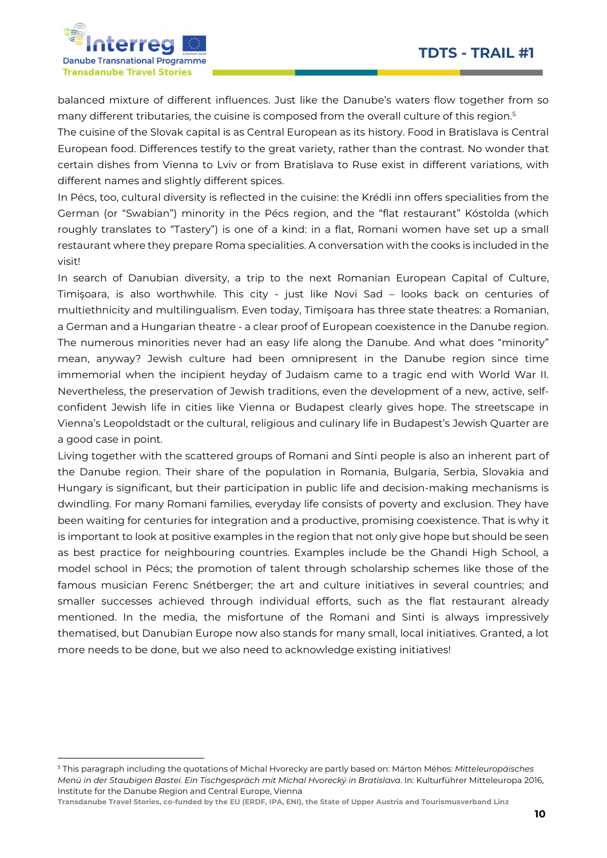

-

balanced mixture of different influences. Just like the Danube's waters flow together from so many different tributaries, the cuisine is composed from the overall culture of this region.<sup>5</sup>

The cuisine of the Slovak capital is as Central European as its history. Food in Bratislava is Central European food. Differences testify to the great variety, rather than the contrast. No wonder that certain dishes from Vienna to Lviv or from Bratislava to Ruse exist in different variations, with different names and slightly different spices.

In Pécs, too, cultural diversity is reflected in the cuisine: the Krédli inn offers specialities from the German (or "Swabian") minority in the Pécs region, and the "flat restaurant" Kóstolda (which roughly translates to "Tastery") is one of a kind: in a flat, Romani women have set up a small restaurant where they prepare Roma specialities. A conversation with the cooks is included in the visit!

In search of Danubian diversity, a trip to the next Romanian European Capital of Culture, Timişoara, is also worthwhile. This city - just like Novi Sad – looks back on centuries of multiethnicity and multilingualism. Even today, Timişoara has three state theatres: a Romanian, a German and a Hungarian theatre - a clear proof of European coexistence in the Danube region. The numerous minorities never had an easy life along the Danube. And what does "minority" mean, anyway? Jewish culture had been omnipresent in the Danube region since time immemorial when the incipient heyday of Judaism came to a tragic end with World War II. Nevertheless, the preservation of Jewish traditions, even the development of a new, active, selfconfident Jewish life in cities like Vienna or Budapest clearly gives hope. The streetscape in Vienna's Leopoldstadt or the cultural, religious and culinary life in Budapest's Jewish Quarter are a good case in point.

Living together with the scattered groups of Romani and Sinti people is also an inherent part of the Danube region. Their share of the population in Romania, Bulgaria, Serbia, Slovakia and Hungary is significant, but their participation in public life and decision-making mechanisms is dwindling. For many Romani families, everyday life consists of poverty and exclusion. They have been waiting for centuries for integration and a productive, promising coexistence. That is why it is important to look at positive examples in the region that not only give hope but should be seen as best practice for neighbouring countries. Examples include be the Ghandi High School, a model school in Pécs; the promotion of talent through scholarship schemes like those of the famous musician Ferenc Snétberger; the art and culture initiatives in several countries; and smaller successes achieved through individual efforts, such as the flat restaurant already mentioned. In the media, the misfortune of the Romani and Sinti is always impressively thematised, but Danubian Europe now also stands for many small, local initiatives. Granted, a lot more needs to be done, but we also need to acknowledge existing initiatives!

<sup>&</sup>lt;sup>5</sup> This paragraph including the quotations of Michal Hvorecky are partly based on: Márton Méhes: Mitteleuropäisches Menü in der Staubigen Bastei. Ein Tischgespräch mit Michal Hvorecký in Bratislava. In: Kulturführer Mitteleuropa 2016, Institute for the Danube Region and Central Europe, Vienna

Transdanube Travel Stories, co-funded by the EU (ERDF, IPA, ENI), the State of Upper Austria and Tourismusverband Linz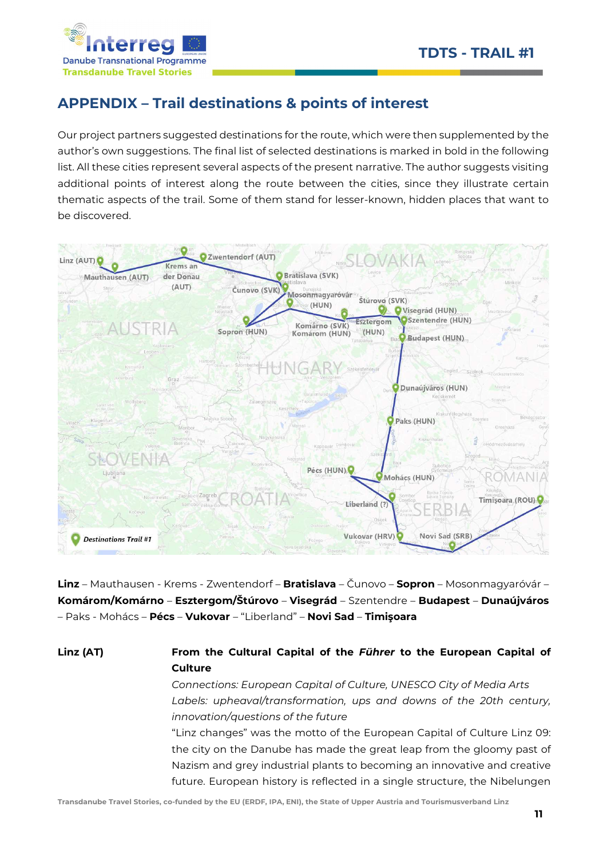

# APPENDIX – Trail destinations & points of interest

Our project partners suggested destinations for the route, which were then supplemented by the author's own suggestions. The final list of selected destinations is marked in bold in the following list. All these cities represent several aspects of the present narrative. The author suggests visiting additional points of interest along the route between the cities, since they illustrate certain thematic aspects of the trail. Some of them stand for lesser-known, hidden places that want to be discovered.



Linz – Mauthausen - Krems - Zwentendorf – Bratislava – Čunovo – Sopron – Mosonmagyaróvár – Komárom/Komárno – Esztergom/Štúrovo – Visegrád – Szentendre – Budapest – Dunaújváros – Paks - Mohács – Pécs – Vukovar – "Liberland" – Novi Sad – Timişoara

## Linz (AT) From the Cultural Capital of the Führer to the European Capital of **Culture**

Connections: European Capital of Culture, UNESCO City of Media Arts Labels: upheaval/transformation, ups and downs of the 20th century, innovation/questions of the future

"Linz changes" was the motto of the European Capital of Culture Linz 09: the city on the Danube has made the great leap from the gloomy past of Nazism and grey industrial plants to becoming an innovative and creative future. European history is reflected in a single structure, the Nibelungen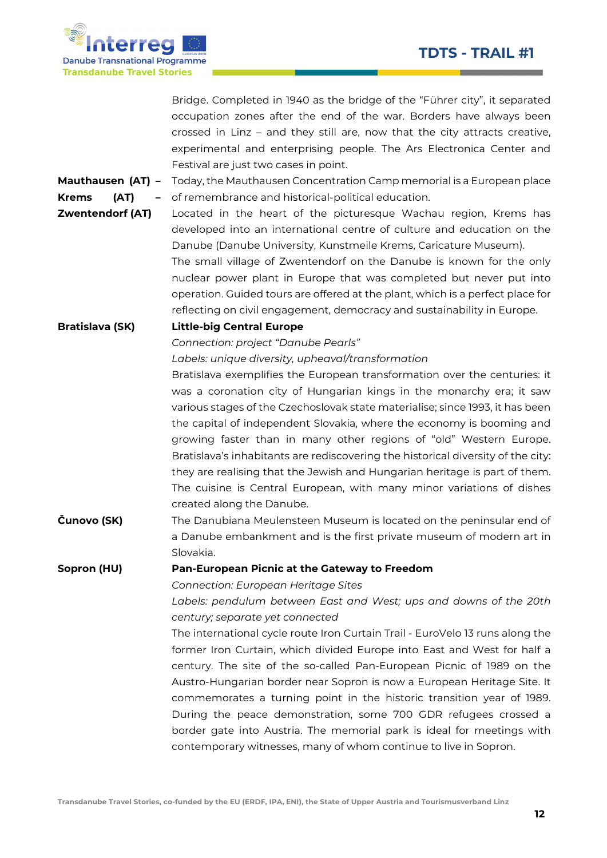Report Follows Construction Construction



|                           | Bridge. Completed in 1940 as the bridge of the "Führer city", it separated       |
|---------------------------|----------------------------------------------------------------------------------|
|                           | occupation zones after the end of the war. Borders have always been              |
|                           | crossed in Linz - and they still are, now that the city attracts creative,       |
|                           | experimental and enterprising people. The Ars Electronica Center and             |
|                           | Festival are just two cases in point.                                            |
| Mauthausen (AT) -         | Today, the Mauthausen Concentration Camp memorial is a European place            |
| <b>Krems</b><br>(AT)<br>- | of remembrance and historical-political education.                               |
| <b>Zwentendorf (AT)</b>   | Located in the heart of the picturesque Wachau region, Krems has                 |
|                           | developed into an international centre of culture and education on the           |
|                           | Danube (Danube University, Kunstmeile Krems, Caricature Museum).                 |
|                           | The small village of Zwentendorf on the Danube is known for the only             |
|                           | nuclear power plant in Europe that was completed but never put into              |
|                           | operation. Guided tours are offered at the plant, which is a perfect place for   |
|                           | reflecting on civil engagement, democracy and sustainability in Europe.          |
| <b>Bratislava (SK)</b>    | <b>Little-big Central Europe</b>                                                 |
|                           | Connection: project "Danube Pearls"                                              |
|                           | Labels: unique diversity, upheaval/transformation                                |
|                           | Bratislava exemplifies the European transformation over the centuries: it        |
|                           | was a coronation city of Hungarian kings in the monarchy era; it saw             |
|                           | various stages of the Czechoslovak state materialise; since 1993, it has been    |
|                           | the capital of independent Slovakia, where the economy is booming and            |
|                           | growing faster than in many other regions of "old" Western Europe.               |
|                           | Bratislava's inhabitants are rediscovering the historical diversity of the city: |
|                           | they are realising that the Jewish and Hungarian heritage is part of them.       |
|                           | The cuisine is Central European, with many minor variations of dishes            |
|                           | created along the Danube.                                                        |
| Čunovo (SK)               | The Danubiana Meulensteen Museum is located on the peninsular end of             |
|                           | a Danube embankment and is the first private museum of modern art in             |
|                           | Slovakia.                                                                        |
| Sopron (HU)               | Pan-European Picnic at the Gateway to Freedom                                    |
|                           | <b>Connection: European Heritage Sites</b>                                       |
|                           | Labels: pendulum between East and West; ups and downs of the 20th                |
|                           | century; separate yet connected                                                  |
|                           | The international cycle route Iron Curtain Trail - EuroVelo 13 runs along the    |
|                           | former Iron Curtain, which divided Europe into East and West for half a          |
|                           | century. The site of the so-called Pan-European Picnic of 1989 on the            |
|                           | Austro-Hungarian border near Sopron is now a European Heritage Site. It          |
|                           | commemorates a turning point in the historic transition year of 1989.            |
|                           | During the peace demonstration, some 700 GDR refugees crossed a                  |
|                           | border gate into Austria. The memorial park is ideal for meetings with           |
|                           | contemporary witnesses, many of whom continue to live in Sopron.                 |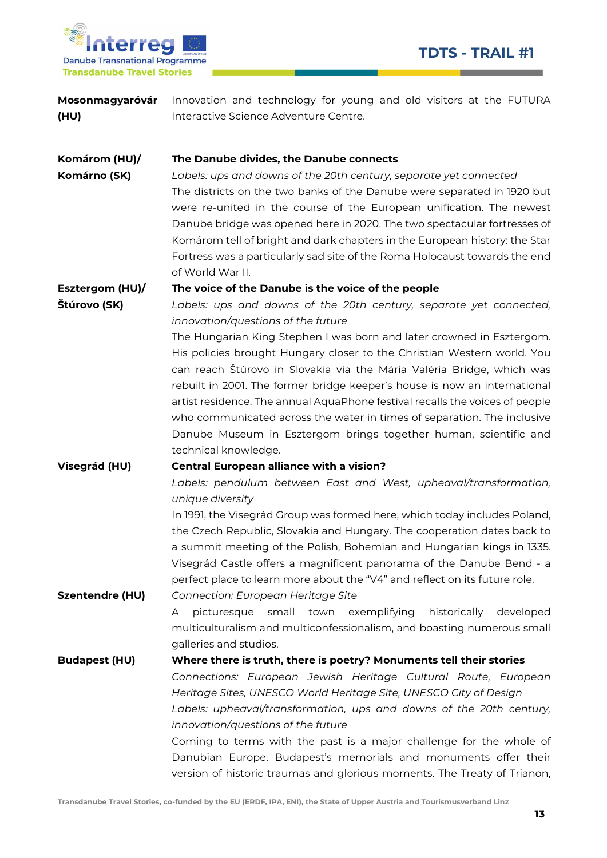

| Mosonmagyaróvár<br>(HU)       | Innovation and technology for young and old visitors at the FUTURA<br>Interactive Science Adventure Centre.                                                                                                                                                                                                                                                                                                                                                                                                                                   |
|-------------------------------|-----------------------------------------------------------------------------------------------------------------------------------------------------------------------------------------------------------------------------------------------------------------------------------------------------------------------------------------------------------------------------------------------------------------------------------------------------------------------------------------------------------------------------------------------|
| Komárom (HU)/<br>Komárno (SK) | The Danube divides, the Danube connects<br>Labels: ups and downs of the 20th century, separate yet connected<br>The districts on the two banks of the Danube were separated in 1920 but<br>were re-united in the course of the European unification. The newest<br>Danube bridge was opened here in 2020. The two spectacular fortresses of<br>Komárom tell of bright and dark chapters in the European history: the Star<br>Fortress was a particularly sad site of the Roma Holocaust towards the end<br>of World War II.                   |
| Esztergom (HU)/               | The voice of the Danube is the voice of the people                                                                                                                                                                                                                                                                                                                                                                                                                                                                                            |
| Štúrovo (SK)                  | Labels: ups and downs of the 20th century, separate yet connected,<br>innovation/questions of the future<br>The Hungarian King Stephen I was born and later crowned in Esztergom.<br>His policies brought Hungary closer to the Christian Western world. You<br>can reach Štúrovo in Slovakia via the Mária Valéria Bridge, which was                                                                                                                                                                                                         |
|                               | rebuilt in 2001. The former bridge keeper's house is now an international<br>artist residence. The annual AquaPhone festival recalls the voices of people<br>who communicated across the water in times of separation. The inclusive<br>Danube Museum in Esztergom brings together human, scientific and<br>technical knowledge.                                                                                                                                                                                                              |
| Visegrád (HU)                 | <b>Central European alliance with a vision?</b>                                                                                                                                                                                                                                                                                                                                                                                                                                                                                               |
|                               | Labels: pendulum between East and West, upheaval/transformation,<br>unique diversity<br>In 1991, the Visegrád Group was formed here, which today includes Poland,<br>the Czech Republic, Slovakia and Hungary. The cooperation dates back to<br>a summit meeting of the Polish, Bohemian and Hungarian kings in 1335.<br>Visegrád Castle offers a magnificent panorama of the Danube Bend - a<br>perfect place to learn more about the "V4" and reflect on its future role.                                                                   |
| <b>Szentendre (HU)</b>        | Connection: European Heritage Site<br>historically<br>picturesque<br>small<br>town<br>exemplifying<br>developed<br>A<br>multiculturalism and multiconfessionalism, and boasting numerous small<br>galleries and studios.                                                                                                                                                                                                                                                                                                                      |
| <b>Budapest (HU)</b>          | Where there is truth, there is poetry? Monuments tell their stories<br>Connections: European Jewish Heritage Cultural Route, European<br>Heritage Sites, UNESCO World Heritage Site, UNESCO City of Design<br>Labels: upheaval/transformation, ups and downs of the 20th century,<br>innovation/questions of the future<br>Coming to terms with the past is a major challenge for the whole of<br>Danubian Europe. Budapest's memorials and monuments offer their<br>version of historic traumas and glorious moments. The Treaty of Trianon, |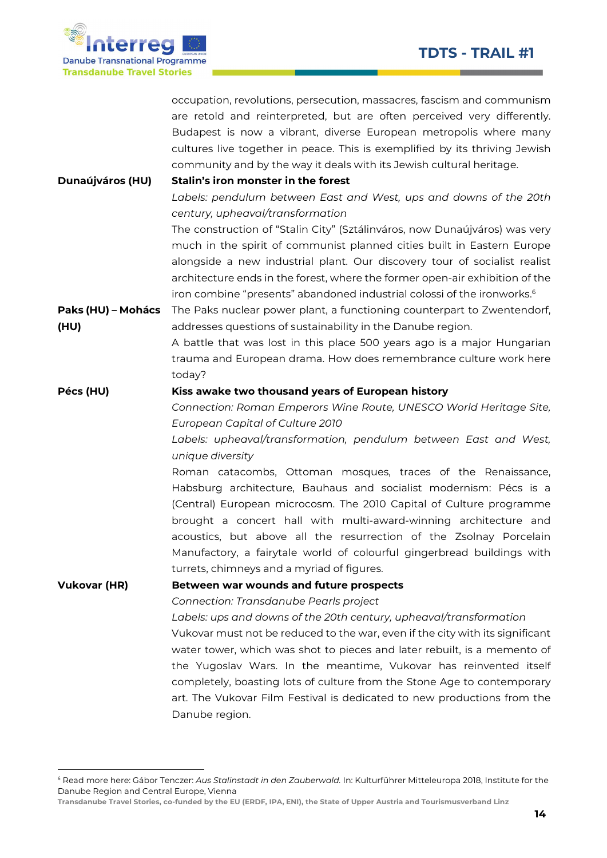Report Follows Construction



-

|                     | occupation, revolutions, persecution, massacres, fascism and communism              |
|---------------------|-------------------------------------------------------------------------------------|
|                     | are retold and reinterpreted, but are often perceived very differently.             |
|                     | Budapest is now a vibrant, diverse European metropolis where many                   |
|                     | cultures live together in peace. This is exemplified by its thriving Jewish         |
|                     | community and by the way it deals with its Jewish cultural heritage.                |
| Dunaújváros (HU)    | Stalin's iron monster in the forest                                                 |
|                     | Labels: pendulum between East and West, ups and downs of the 20th                   |
|                     | century, upheaval/transformation                                                    |
|                     | The construction of "Stalin City" (Sztálinváros, now Dunaújváros) was very          |
|                     | much in the spirit of communist planned cities built in Eastern Europe              |
|                     | alongside a new industrial plant. Our discovery tour of socialist realist           |
|                     | architecture ends in the forest, where the former open-air exhibition of the        |
|                     | iron combine "presents" abandoned industrial colossi of the ironworks. <sup>6</sup> |
| Paks (HU) - Mohács  | The Paks nuclear power plant, a functioning counterpart to Zwentendorf,             |
| (HU)                | addresses questions of sustainability in the Danube region.                         |
|                     | A battle that was lost in this place 500 years ago is a major Hungarian             |
|                     | trauma and European drama. How does remembrance culture work here                   |
|                     | today?                                                                              |
| Pécs (HU)           | Kiss awake two thousand years of European history                                   |
|                     | Connection: Roman Emperors Wine Route, UNESCO World Heritage Site,                  |
|                     | European Capital of Culture 2010                                                    |
|                     | Labels: upheaval/transformation, pendulum between East and West,                    |
|                     | unique diversity                                                                    |
|                     | Roman catacombs, Ottoman mosques, traces of the Renaissance,                        |
|                     | Habsburg architecture, Bauhaus and socialist modernism: Pécs is a                   |
|                     | (Central) European microcosm. The 2010 Capital of Culture programme                 |
|                     | brought a concert hall with multi-award-winning architecture and                    |
|                     | acoustics, but above all the resurrection of the Zsolnay Porcelain                  |
|                     | Manufactory, a fairytale world of colourful gingerbread buildings with              |
|                     | turrets, chimneys and a myriad of figures.                                          |
| <b>Vukovar (HR)</b> | Between war wounds and future prospects                                             |
|                     | Connection: Transdanube Pearls project                                              |
|                     | Labels: ups and downs of the 20th century, upheaval/transformation                  |
|                     | Vukovar must not be reduced to the war, even if the city with its significant       |
|                     | water tower, which was shot to pieces and later rebuilt, is a memento of            |
|                     | the Yugoslav Wars. In the meantime, Vukovar has reinvented itself                   |
|                     | completely, boasting lots of culture from the Stone Age to contemporary             |
|                     | art. The Vukovar Film Festival is dedicated to new productions from the             |
|                     | Danube region.                                                                      |

<sup>6</sup> Read more here: Gábor Tenczer: Aus Stalinstadt in den Zauberwald. In: Kulturführer Mitteleuropa 2018, Institute for the Danube Region and Central Europe, Vienna

Transdanube Travel Stories, co-funded by the EU (ERDF, IPA, ENI), the State of Upper Austria and Tourismusverband Linz